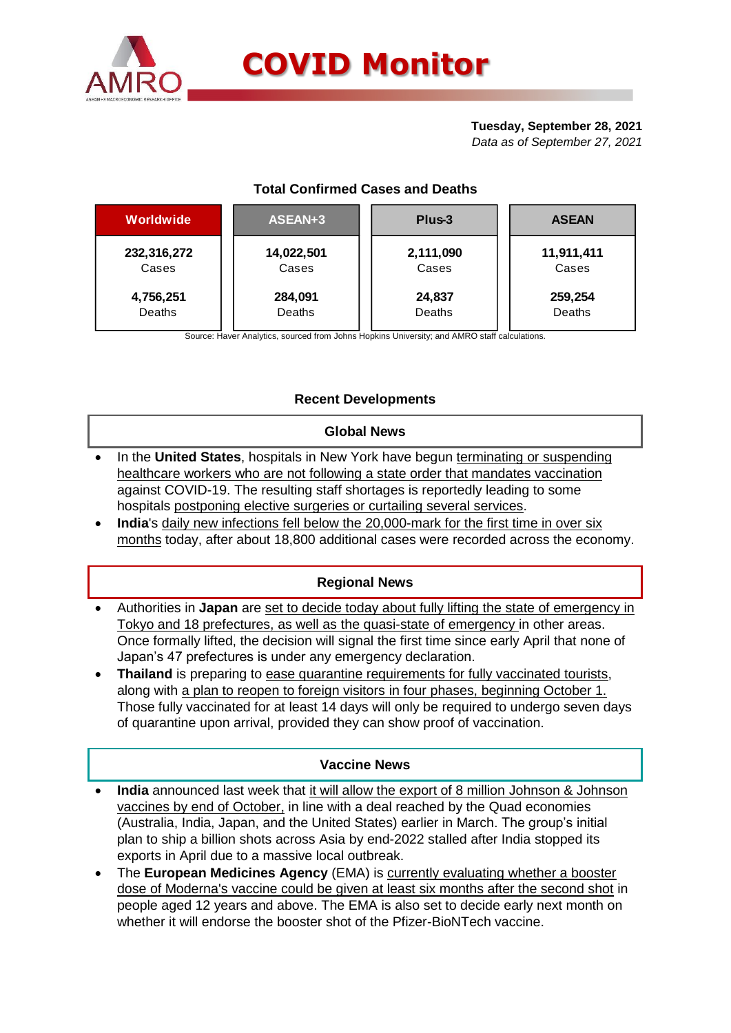

# **Tuesday, September 28, 2021**

*Data as of September 27, 2021*

| Worldwide   | ASEAN+3    | Plus-3    | <b>ASEAN</b> |  |  |
|-------------|------------|-----------|--------------|--|--|
| 232,316,272 | 14,022,501 | 2,111,090 | 11,911,411   |  |  |
| Cases       | Cases      | Cases     | Cases        |  |  |
| 4,756,251   | 284,091    | 24,837    | 259,254      |  |  |
| Deaths      | Deaths     | Deaths    | Deaths       |  |  |

Source: Haver Analytics, sourced from Johns Hopkins University; and AMRO staff calculations.

## **Recent Developments**

### **Global News**

- In the **United States**, hospitals in New York have begun terminating or suspending healthcare workers who are not following a state order that mandates vaccination against COVID-19. The resulting staff shortages is reportedly leading to some hospitals postponing elective surgeries or curtailing several services.
- **India**'s daily new infections fell below the 20,000-mark for the first time in over six months today, after about 18,800 additional cases were recorded across the economy.

### **Regional News**

- Authorities in **Japan** are set to decide today about fully lifting the state of emergency in Tokyo and 18 prefectures, as well as the quasi-state of emergency in other areas. Once formally lifted, the decision will signal the first time since early April that none of Japan's 47 prefectures is under any emergency declaration.
- **Thailand** is preparing to ease quarantine requirements for fully vaccinated tourists, along with a plan to reopen to foreign visitors in four phases, beginning October 1. Those fully vaccinated for at least 14 days will only be required to undergo seven days of quarantine upon arrival, provided they can show proof of vaccination.

### **Vaccine News**

- **India** announced last week that it will allow the export of 8 million Johnson & Johnson vaccines by end of October, in line with a deal reached by the Quad economies (Australia, India, Japan, and the United States) earlier in March. The group's initial plan to ship a billion shots across Asia by end-2022 stalled after India stopped its exports in April due to a massive local outbreak.
- The **European Medicines Agency** (EMA) is currently evaluating whether a booster dose of Moderna's vaccine could be given at least six months after the second shot in people aged 12 years and above. The EMA is also set to decide early next month on whether it will endorse the booster shot of the Pfizer-BioNTech vaccine.